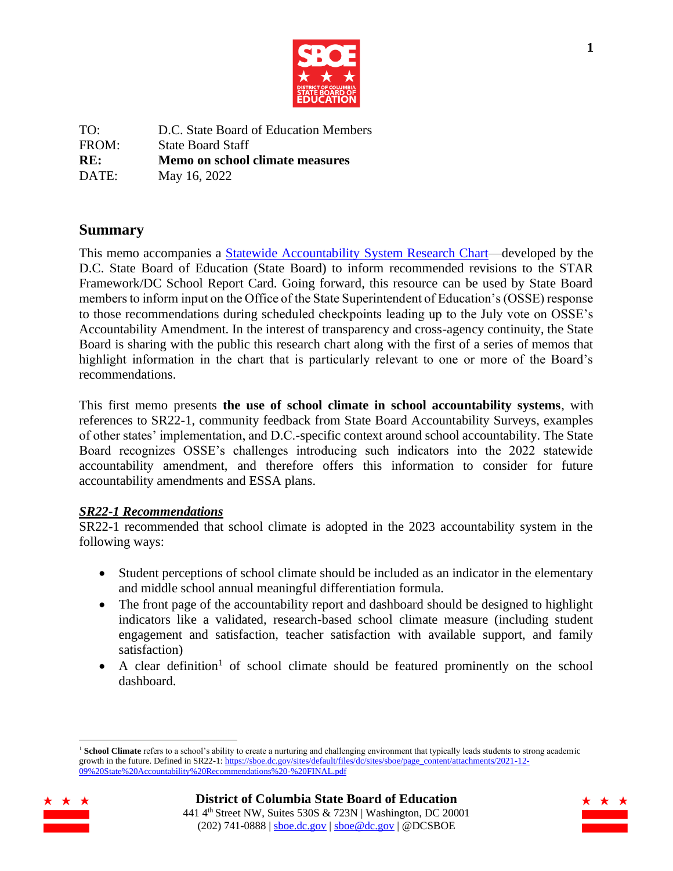

| TO:   | D.C. State Board of Education Members |
|-------|---------------------------------------|
| FROM: | <b>State Board Staff</b>              |
|       | Memo on school climate measures       |
| RE:   |                                       |

# **Summary**

This memo accompanies a [Statewide Accountability System Research Chart—](https://dcgovict.sharepoint.com/:x:/s/DCStateBoardofEducationSBOE/Ea5n6lZ4Re5GiBBF4BU813kBV_SaJkrbJXKQimzLo_t3Bg?e=eKPdY2)developed by the D.C. State Board of Education (State Board) to inform recommended revisions to the STAR Framework/DC School Report Card. Going forward, this resource can be used by State Board members to inform input on the Office of the State Superintendent of Education's (OSSE) response to those recommendations during scheduled checkpoints leading up to the July vote on OSSE's Accountability Amendment. In the interest of transparency and cross-agency continuity, the State Board is sharing with the public this research chart along with the first of a series of memos that highlight information in the chart that is particularly relevant to one or more of the Board's recommendations.

This first memo presents **the use of school climate in school accountability systems**, with references to SR22-1, community feedback from State Board Accountability Surveys, examples of other states' implementation, and D.C.-specific context around school accountability. The State Board recognizes OSSE's challenges introducing such indicators into the 2022 statewide accountability amendment, and therefore offers this information to consider for future accountability amendments and ESSA plans.

## *SR22-1 Recommendations*

SR22-1 recommended that school climate is adopted in the 2023 accountability system in the following ways:

- Student perceptions of school climate should be included as an indicator in the elementary and middle school annual meaningful differentiation formula.
- The front page of the accountability report and dashboard should be designed to highlight indicators like a validated, research-based school climate measure (including student engagement and satisfaction, teacher satisfaction with available support, and family satisfaction)
- A clear definition<sup>1</sup> of school climate should be featured prominently on the school dashboard.

<sup>&</sup>lt;sup>1</sup> School Climate refers to a school's ability to create a nurturing and challenging environment that typically leads students to strong academic growth in the future. Defined in SR22-1[: https://sboe.dc.gov/sites/default/files/dc/sites/sboe/page\\_content/attachments/2021-12-](https://sboe.dc.gov/sites/default/files/dc/sites/sboe/page_content/attachments/2021-12-09%20State%20Accountability%20Recommendations%20-%20FINAL.pdf) [09%20State%20Accountability%20Recommendations%20-%20FINAL.pdf](https://sboe.dc.gov/sites/default/files/dc/sites/sboe/page_content/attachments/2021-12-09%20State%20Accountability%20Recommendations%20-%20FINAL.pdf)



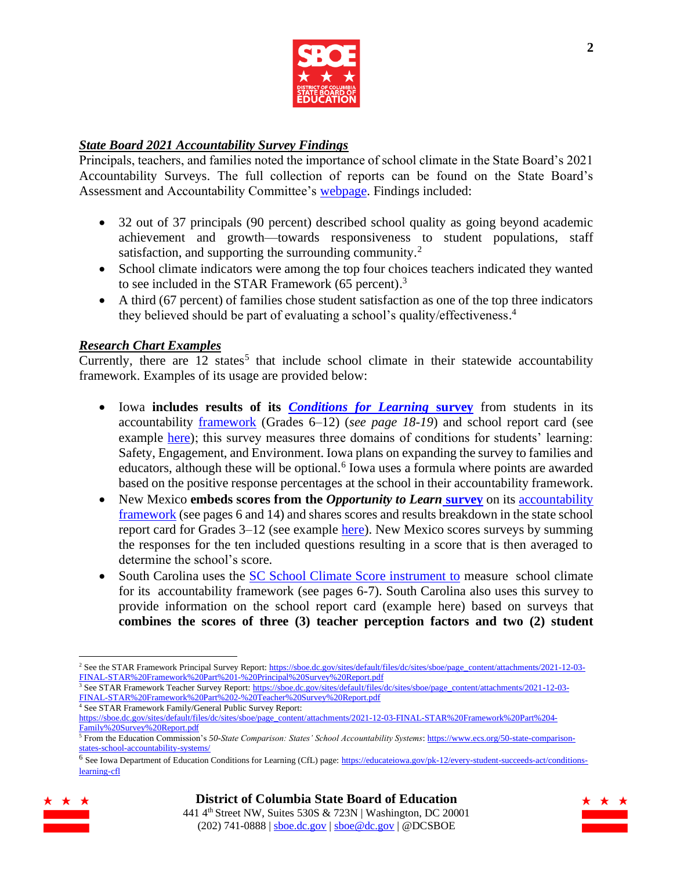

# *State Board 2021 Accountability Survey Findings*

Principals, teachers, and families noted the importance of school climate in the State Board's 2021 Accountability Surveys. The full collection of reports can be found on the State Board's Assessment and Accountability Committee's [webpage.](https://sboe.dc.gov/page/accountability-and-assessment) Findings included:

- 32 out of 37 principals (90 percent) described school quality as going beyond academic achievement and growth—towards responsiveness to student populations, staff satisfaction, and supporting the surrounding community.<sup>2</sup>
- School climate indicators were among the top four choices teachers indicated they wanted to see included in the STAR Framework (65 percent).<sup>3</sup>
- A third (67 percent) of families chose student satisfaction as one of the top three indicators they believed should be part of evaluating a school's quality/effectiveness. 4

## *Research Chart Examples*

Currently, there are  $12$  states<sup>5</sup> that include school climate in their statewide accountability framework. Examples of its usage are provided below:

- Iowa **includes results of its** *[Conditions for Learning](https://www.air.org/project/conditions-learning-survey)* **survey** from students in its accountability [framework](https://www.iaschoolperformance.gov/ECP/Home/TechGuide) (Grades 6–12) (*see page 18-19*) and school report card (see example [here\)](https://www.iaschoolperformance.gov/ECP/StateDistrictSchool/SchoolDetails?DetailType=ConditionsForLearning&k=9303&y=2019); this survey measures three domains of conditions for students' learning: Safety, Engagement, and Environment. Iowa plans on expanding the survey to families and educators, although these will be optional.<sup>6</sup> Iowa uses a formula where points are awarded based on the positive response percentages at the school in their accountability framework.
- New Mexico **embeds scores from the** *[Opportunity to Learn](https://newmexico.onlinehelp.cognia.org/wp-content/uploads/sites/10/2021/04/NMPED_Student-OTL-Survey-FAQ.pdf)* **survey** on its accountability [framework](https://webnew.ped.state.nm.us/wp-content/uploads/2020/04/New-Mexico-Vistas-Technical-Guide-SY-2018-19.pdf) (see pages 6 and 14) and shares scores and results breakdown in the state school report card for Grades 3–12 (see example [here\)](https://newmexicoschools.com/schools/10150/parent-satisfaction). New Mexico scores surveys by summing the responses for the ten included questions resulting in a score that is then averaged to determine the school's score.
- South Carolina uses the [SC School Climate Score instrument to](https://ed.sc.gov/sites/scdoe/assets/file/programs-services/191/documents/SC_ClimateScoreExplanation.pdf) measure school climate for its [accountability framework](https://ed.sc.gov/newsroom/every-student-succeeds-act-essa/2021-2022-addendum-template-for-the-consolidated-state-plan-due-to-covid-19/) (see pages 6-7). South Carolina also uses this survey to provide information on the school report card (example [here\)](https://screportcards.com/overview/?q=eT0yMDIxJnQ9SCZzaWQ9MDkwMTAwMQ) based on surveys that **combines the scores of three (3) teacher perception factors and two (2) student**

<sup>&</sup>lt;sup>6</sup> See Iowa Department of Education Conditions for Learning (CfL) page: [https://educateiowa.gov/pk-12/every-student-succeeds-act/conditions](https://educateiowa.gov/pk-12/every-student-succeeds-act/conditions-learning-cfl)[learning-cfl](https://educateiowa.gov/pk-12/every-student-succeeds-act/conditions-learning-cfl)





<sup>&</sup>lt;sup>2</sup> See the STAR Framework Principal Survey Report[: https://sboe.dc.gov/sites/default/files/dc/sites/sboe/page\\_content/attachments/2021-12-03-](https://sboe.dc.gov/sites/default/files/dc/sites/sboe/page_content/attachments/2021-12-03-FINAL-STAR%20Framework%20Part%201-%20Principal%20Survey%20Report.pdf) [FINAL-STAR%20Framework%20Part%201-%20Principal%20Survey%20Report.pdf](https://sboe.dc.gov/sites/default/files/dc/sites/sboe/page_content/attachments/2021-12-03-FINAL-STAR%20Framework%20Part%201-%20Principal%20Survey%20Report.pdf)

<sup>&</sup>lt;sup>3</sup> See STAR Framework Teacher Survey Report: [https://sboe.dc.gov/sites/default/files/dc/sites/sboe/page\\_content/attachments/2021-12-03-](https://sboe.dc.gov/sites/default/files/dc/sites/sboe/page_content/attachments/2021-12-03-FINAL-STAR%20Framework%20Part%202-%20Teacher%20Survey%20Report.pdf) [FINAL-STAR%20Framework%20Part%202-%20Teacher%20Survey%20Report.pdf](https://sboe.dc.gov/sites/default/files/dc/sites/sboe/page_content/attachments/2021-12-03-FINAL-STAR%20Framework%20Part%202-%20Teacher%20Survey%20Report.pdf) <sup>4</sup> See STAR Framework Family/General Public Survey Report:

[https://sboe.dc.gov/sites/default/files/dc/sites/sboe/page\\_content/attachments/2021-12-03-FINAL-STAR%20Framework%20Part%204-](https://sboe.dc.gov/sites/default/files/dc/sites/sboe/page_content/attachments/2021-12-03-FINAL-STAR%20Framework%20Part%204-Family%20Survey%20Report.pdf) [Family%20Survey%20Report.pdf](https://sboe.dc.gov/sites/default/files/dc/sites/sboe/page_content/attachments/2021-12-03-FINAL-STAR%20Framework%20Part%204-Family%20Survey%20Report.pdf)

<sup>5</sup> From the Education Commission's *50-State Comparison: States' School Accountability Systems*: [https://www.ecs.org/50-state-comparison](https://www.ecs.org/50-state-comparison-states-school-accountability-systems/)[states-school-accountability-systems/](https://www.ecs.org/50-state-comparison-states-school-accountability-systems/)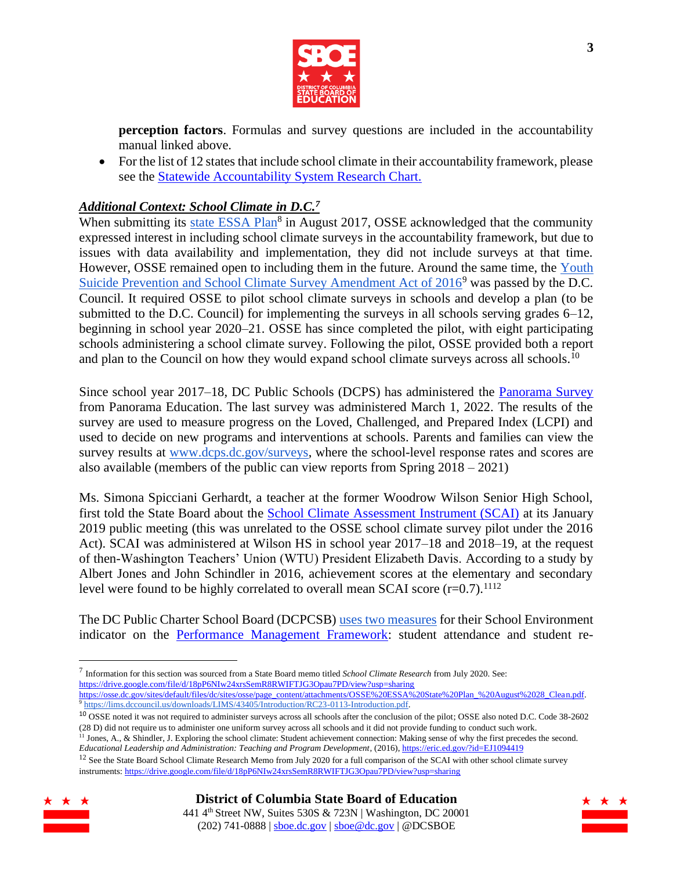

**perception factors**. Formulas and survey questions are included in the accountability manual linked above.

• For the list of 12 states that include school climate in their accountability framework, please see the [Statewide Accountability System Research Chart.](Statewide%20Accountability%20System%20Research%20Chart)

# *Additional Context: School Climate in D.C.<sup>7</sup>*

When submitting its [state ESSA Plan](https://osse.dc.gov/sites/default/files/dc/sites/osse/page_content/attachments/OSSE%20ESSA%20State%20Plan_%20August%2028_Clean.pdf)<sup>8</sup> in August 2017, OSSE acknowledged that the community expressed interest in including school climate surveys in the accountability framework, but due to issues with data availability and implementation, they did not include surveys at that time. However, OSSE remained open to including them in the future. Around the same time, the [Youth](https://lims.dccouncil.us/downloads/LIMS/43405/Introduction/RC23-0113-Introduction.pdf)  Suicide Prevention and School Climate Survey Amendment Act of  $2016^9$  was passed by the D.C. Council. It required OSSE to pilot school climate surveys in schools and develop a plan (to be submitted to the D.C. Council) for implementing the surveys in all schools serving grades  $6-12$ , beginning in school year 2020–21. OSSE has since completed the pilot, with eight participating schools administering a school climate survey. Following the pilot, OSSE provided both a report and plan to the Council on how they would expand school climate surveys across all schools.<sup>10</sup>

Since school year 2017–18, DC Public Schools (DCPS) has administered the [Panorama Survey](https://dcps.dc.gov/surveys) from Panorama Education. The last survey was administered March 1, 2022. The results of the survey are used to measure progress on the Loved, Challenged, and Prepared Index (LCPI) and used to decide on new programs and interventions at schools. Parents and families can view the survey results at [www.dcps.dc.gov/surveys,](http://www.dcps.dc.gov/surveys) where the school-level response rates and scores are also available (members of the public can view reports from Spring 2018 – 2021)

Ms. Simona Spicciani Gerhardt, a teacher at the former Woodrow Wilson Senior High School, first told the State Board about the [School Climate Assessment Instrument \(SCAI\)](https://web.calstatela.edu/centers/schoolclimate/assessment/) at its January 2019 public meeting (this was unrelated to the OSSE school climate survey pilot under the 2016 Act). SCAI was administered at Wilson HS in school year 2017–18 and 2018–19, at the request of then-Washington Teachers' Union (WTU) President Elizabeth Davis. According to a study by Albert Jones and John Schindler in 2016, achievement scores at the elementary and secondary level were found to be highly correlated to overall mean SCAI score  $(r=0.7)$ .<sup>1112</sup>

The DC Public Charter School Board (DCPCSB) [uses two measures](https://dcpcsb.egnyte.com/dl/D8w46opQ22/) for their School Environment indicator on the [Performance Management Framework:](https://dcpcsb.org/performance-management-framework-pmf) student attendance and student re-

<sup>&</sup>lt;sup>12</sup> See the State Board School Climate Research Memo from July 2020 for a full comparison of the SCAI with other school climate survey instruments[: https://drive.google.com/file/d/18pP6NIw24xrsSemR8RWIFTJG3Opau7PD/view?usp=sharing](https://drive.google.com/file/d/18pP6NIw24xrsSemR8RWIFTJG3Opau7PD/view?usp=sharing)





<sup>7</sup> Information for this section was sourced from a State Board memo titled *School Climate Research* from July 2020. See: <https://drive.google.com/file/d/18pP6NIw24xrsSemR8RWIFTJG3Opau7PD/view?usp=sharing> [https://osse.dc.gov/sites/default/files/dc/sites/osse/page\\_content/attachments/OSSE%20ESSA%20State%20Plan\\_%20August%2028\\_Clean.pdf.](https://osse.dc.gov/sites/default/files/dc/sites/osse/page_content/attachments/OSSE%20ESSA%20State%20Plan_%20August%2028_Clean.pdf) 

<sup>&</sup>lt;sup>9</sup> https://lims.dccouncil.us/downloads/LIMS/43405/Introduction/RC23-0113-Introduction.pdf.

<sup>10</sup> OSSE noted it was not required to administer surveys across all schools after the conclusion of the pilot; OSSE also noted D.C. Code 38-2602 (28 D) did not require us to administer one uniform survey across all schools and it did not provide funding to conduct such work.

 $11$  Jones, A., & Shindler, J. Exploring the school climate: Student achievement connection: Making sense of why the first precedes the second. *Educational Leadership and Administration: Teaching and Program Development*, (2016)[, https://eric.ed.gov/?id=EJ1094419](https://eric.ed.gov/?id=EJ1094419)